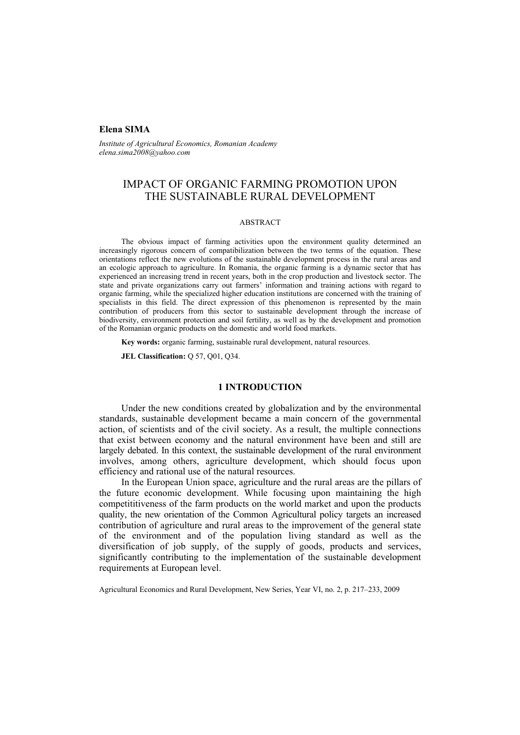# **Elena SIMA**

*Institute of Agricultural Economics, Romanian Academy elena.sima2008@yahoo.com* 

# IMPACT OF ORGANIC FARMING PROMOTION UPON THE SUSTAINABLE RURAL DEVELOPMENT

#### ABSTRACT

The obvious impact of farming activities upon the environment quality determined an increasingly rigorous concern of compatibilization between the two terms of the equation. These orientations reflect the new evolutions of the sustainable development process in the rural areas and an ecologic approach to agriculture. In Romania, the organic farming is a dynamic sector that has experienced an increasing trend in recent years, both in the crop production and livestock sector. The state and private organizations carry out farmers' information and training actions with regard to organic farming, while the specialized higher education institutions are concerned with the training of specialists in this field. The direct expression of this phenomenon is represented by the main contribution of producers from this sector to sustainable development through the increase of biodiversity, environment protection and soil fertility, as well as by the development and promotion of the Romanian organic products on the domestic and world food markets.

**Key words:** organic farming, sustainable rural development, natural resources.

**JEL Classification:** Q 57, Q01, Q34.

### **1 INTRODUCTION**

Under the new conditions created by globalization and by the environmental standards, sustainable development became a main concern of the governmental action, of scientists and of the civil society. As a result, the multiple connections that exist between economy and the natural environment have been and still are largely debated. In this context, the sustainable development of the rural environment involves, among others, agriculture development, which should focus upon efficiency and rational use of the natural resources.

In the European Union space, agriculture and the rural areas are the pillars of the future economic development. While focusing upon maintaining the high competititiveness of the farm products on the world market and upon the products quality, the new orientation of the Common Agricultural policy targets an increased contribution of agriculture and rural areas to the improvement of the general state of the environment and of the population living standard as well as the diversification of job supply, of the supply of goods, products and services, significantly contributing to the implementation of the sustainable development requirements at European level.

Agricultural Economics and Rural Development, New Series, Year VI, no. 2, p. 217–233, 2009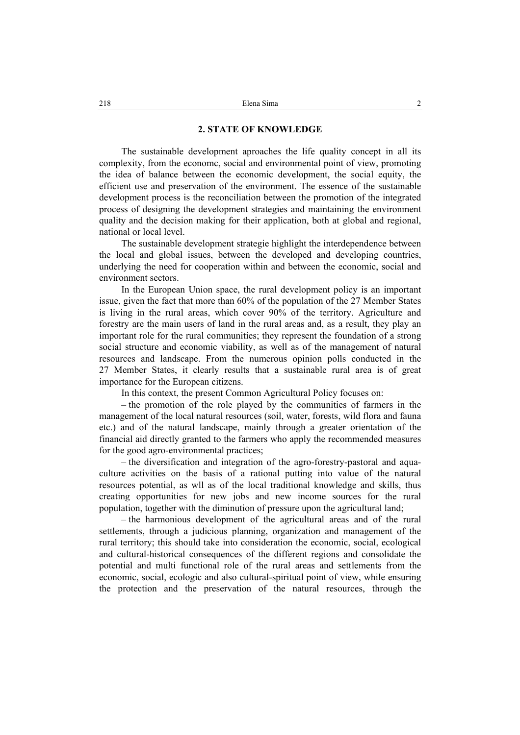### **2. STATE OF KNOWLEDGE**

The sustainable development aproaches the life quality concept in all its complexity, from the economc, social and environmental point of view, promoting the idea of balance between the economic development, the social equity, the efficient use and preservation of the environment. The essence of the sustainable development process is the reconciliation between the promotion of the integrated process of designing the development strategies and maintaining the environment quality and the decision making for their application, both at global and regional, national or local level.

The sustainable development strategie highlight the interdependence between the local and global issues, between the developed and developing countries, underlying the need for cooperation within and between the economic, social and environment sectors.

In the European Union space, the rural development policy is an important issue, given the fact that more than 60% of the population of the 27 Member States is living in the rural areas, which cover 90% of the territory. Agriculture and forestry are the main users of land in the rural areas and, as a result, they play an important role for the rural communities; they represent the foundation of a strong social structure and economic viability, as well as of the management of natural resources and landscape. From the numerous opinion polls conducted in the 27 Member States, it clearly results that a sustainable rural area is of great importance for the European citizens.

In this context, the present Common Agricultural Policy focuses on:

– the promotion of the role played by the communities of farmers in the management of the local natural resources (soil, water, forests, wild flora and fauna etc.) and of the natural landscape, mainly through a greater orientation of the financial aid directly granted to the farmers who apply the recommended measures for the good agro-environmental practices;

– the diversification and integration of the agro-forestry-pastoral and aquaculture activities on the basis of a rational putting into value of the natural resources potential, as wll as of the local traditional knowledge and skills, thus creating opportunities for new jobs and new income sources for the rural population, together with the diminution of pressure upon the agricultural land;

– the harmonious development of the agricultural areas and of the rural settlements, through a judicious planning, organization and management of the rural territory; this should take into consideration the economic, social, ecological and cultural-historical consequences of the different regions and consolidate the potential and multi functional role of the rural areas and settlements from the economic, social, ecologic and also cultural-spiritual point of view, while ensuring the protection and the preservation of the natural resources, through the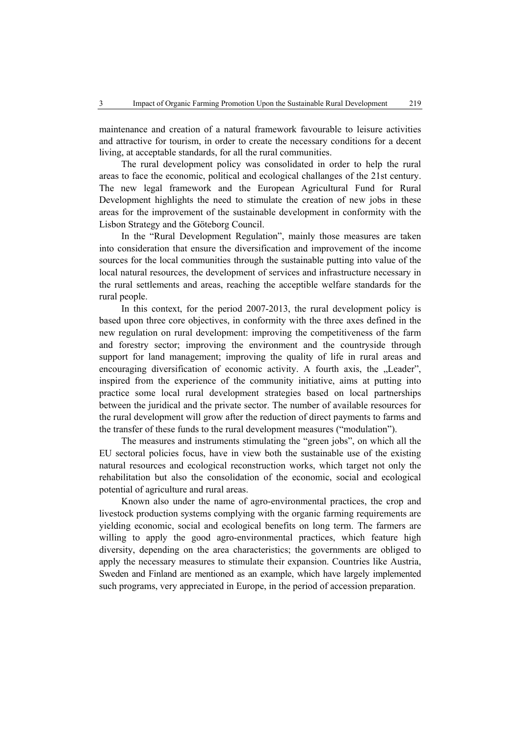maintenance and creation of a natural framework favourable to leisure activities and attractive for tourism, in order to create the necessary conditions for a decent living, at acceptable standards, for all the rural communities.

The rural development policy was consolidated in order to help the rural areas to face the economic, political and ecological challanges of the 21st century. The new legal framework and the European Agricultural Fund for Rural Development highlights the need to stimulate the creation of new jobs in these areas for the improvement of the sustainable development in conformity with the Lisbon Strategy and the Göteborg Council.

In the "Rural Development Regulation", mainly those measures are taken into consideration that ensure the diversification and improvement of the income sources for the local communities through the sustainable putting into value of the local natural resources, the development of services and infrastructure necessary in the rural settlements and areas, reaching the acceptible welfare standards for the rural people.

In this context, for the period 2007-2013, the rural development policy is based upon three core objectives, in conformity with the three axes defined in the new regulation on rural development: improving the competitiveness of the farm and forestry sector; improving the environment and the countryside through support for land management; improving the quality of life in rural areas and encouraging diversification of economic activity. A fourth axis, the ..Leader". inspired from the experience of the community initiative, aims at putting into practice some local rural development strategies based on local partnerships between the juridical and the private sector. The number of available resources for the rural development will grow after the reduction of direct payments to farms and the transfer of these funds to the rural development measures ("modulation").

The measures and instruments stimulating the "green jobs", on which all the EU sectoral policies focus, have in view both the sustainable use of the existing natural resources and ecological reconstruction works, which target not only the rehabilitation but also the consolidation of the economic, social and ecological potential of agriculture and rural areas.

Known also under the name of agro-environmental practices, the crop and livestock production systems complying with the organic farming requirements are yielding economic, social and ecological benefits on long term. The farmers are willing to apply the good agro-environmental practices, which feature high diversity, depending on the area characteristics; the governments are obliged to apply the necessary measures to stimulate their expansion. Countries like Austria, Sweden and Finland are mentioned as an example, which have largely implemented such programs, very appreciated in Europe, in the period of accession preparation.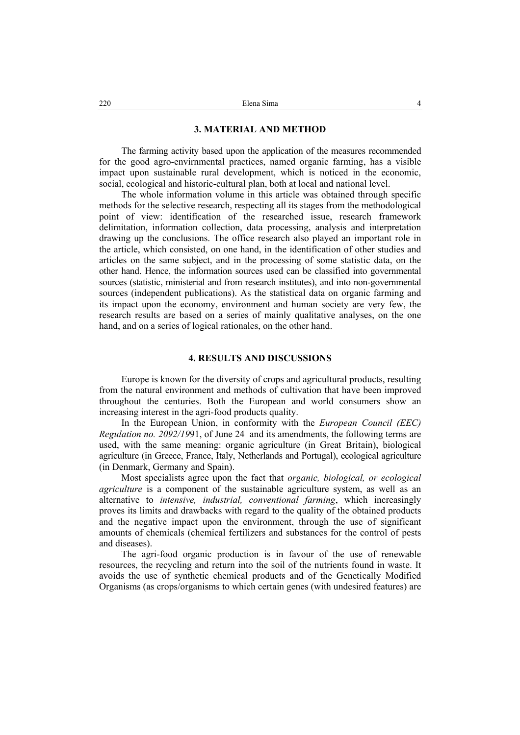### **3. MATERIAL AND METHOD**

The farming activity based upon the application of the measures recommended for the good agro-envirnmental practices, named organic farming, has a visible impact upon sustainable rural development, which is noticed in the economic, social, ecological and historic-cultural plan, both at local and national level.

The whole information volume in this article was obtained through specific methods for the selective research, respecting all its stages from the methodological point of view: identification of the researched issue, research framework delimitation, information collection, data processing, analysis and interpretation drawing up the conclusions. The office research also played an important role in the article, which consisted, on one hand, in the identification of other studies and articles on the same subject, and in the processing of some statistic data, on the other hand. Hence, the information sources used can be classified into governmental sources (statistic, ministerial and from research institutes), and into non-governmental sources (independent publications). As the statistical data on organic farming and its impact upon the economy, environment and human society are very few, the research results are based on a series of mainly qualitative analyses, on the one hand, and on a series of logical rationales, on the other hand.

## **4. RESULTS AND DISCUSSIONS**

Europe is known for the diversity of crops and agricultural products, resulting from the natural environment and methods of cultivation that have been improved throughout the centuries. Both the European and world consumers show an increasing interest in the agri-food products quality.

In the European Union, in conformity with the *European Council (EEC) Regulation no. 2092/19*91, of June 24 and its amendments, the following terms are used, with the same meaning: organic agriculture (in Great Britain), biological agriculture (in Greece, France, Italy, Netherlands and Portugal), ecological agriculture (in Denmark, Germany and Spain).

Most specialists agree upon the fact that *organic, biological, or ecological agriculture* is a component of the sustainable agriculture system, as well as an alternative to *intensive, industrial, conventional farming*, which increasingly proves its limits and drawbacks with regard to the quality of the obtained products and the negative impact upon the environment, through the use of significant amounts of chemicals (chemical fertilizers and substances for the control of pests and diseases).

The agri-food organic production is in favour of the use of renewable resources, the recycling and return into the soil of the nutrients found in waste. It avoids the use of synthetic chemical products and of the Genetically Modified Organisms (as crops/organisms to which certain genes (with undesired features) are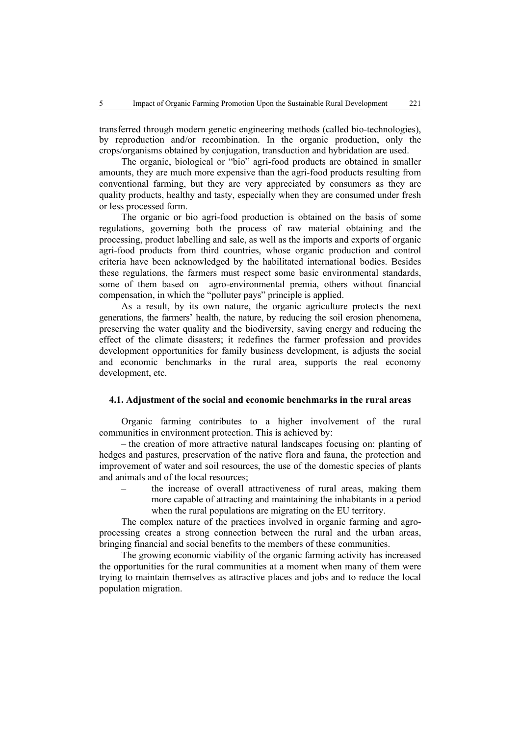transferred through modern genetic engineering methods (called bio-technologies), by reproduction and/or recombination. In the organic production, only the crops/organisms obtained by conjugation, transduction and hybridation are used.

The organic, biological or "bio" agri-food products are obtained in smaller amounts, they are much more expensive than the agri-food products resulting from conventional farming, but they are very appreciated by consumers as they are quality products, healthy and tasty, especially when they are consumed under fresh or less processed form.

The organic or bio agri-food production is obtained on the basis of some regulations, governing both the process of raw material obtaining and the processing, product labelling and sale, as well as the imports and exports of organic agri-food products from third countries, whose organic production and control criteria have been acknowledged by the habilitated international bodies. Besides these regulations, the farmers must respect some basic environmental standards, some of them based on agro-environmental premia, others without financial compensation, in which the "polluter pays" principle is applied.

As a result, by its own nature, the organic agriculture protects the next generations, the farmers' health, the nature, by reducing the soil erosion phenomena, preserving the water quality and the biodiversity, saving energy and reducing the effect of the climate disasters; it redefines the farmer profession and provides development opportunities for family business development, is adjusts the social and economic benchmarks in the rural area, supports the real economy development, etc.

### **4.1. Adjustment of the social and economic benchmarks in the rural areas**

Organic farming contributes to a higher involvement of the rural communities in environment protection. This is achieved by:

– the creation of more attractive natural landscapes focusing on: planting of hedges and pastures, preservation of the native flora and fauna, the protection and improvement of water and soil resources, the use of the domestic species of plants and animals and of the local resources;

> – the increase of overall attractiveness of rural areas, making them more capable of attracting and maintaining the inhabitants in a period when the rural populations are migrating on the EU territory.

The complex nature of the practices involved in organic farming and agroprocessing creates a strong connection between the rural and the urban areas, bringing financial and social benefits to the members of these communities.

The growing economic viability of the organic farming activity has increased the opportunities for the rural communities at a moment when many of them were trying to maintain themselves as attractive places and jobs and to reduce the local population migration.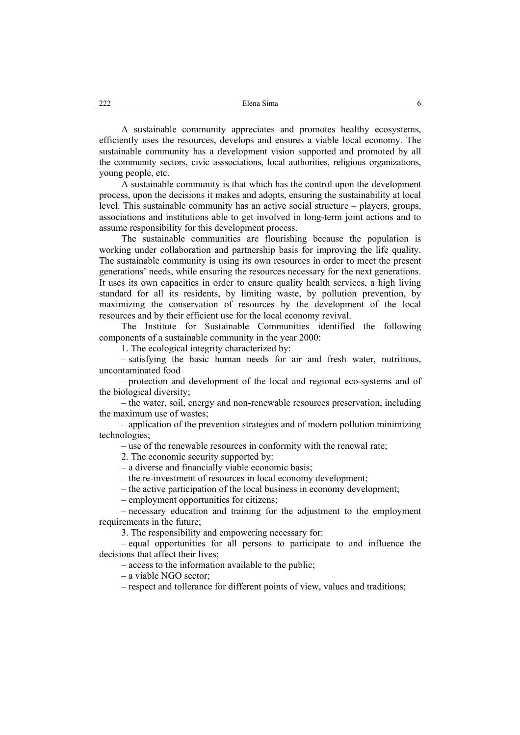A sustainable community appreciates and promotes healthy ecosystems, efficiently uses the resources, develops and ensures a viable local economy. The sustainable community has a development vision supported and promoted by all the community sectors, civic asssociations, local authorities, religious organizations, young people, etc.

A sustainable community is that which has the control upon the development process, upon the decisions it makes and adopts, ensuring the sustainability at local level. This sustainable community has an active social structure – players, groups, associations and institutions able to get involved in long-term joint actions and to assume responsibility for this development process.

The sustainable communities are flourishing because the population is working under collaboration and partnership basis for improving the life quality. The sustainable community is using its own resources in order to meet the present generations' needs, while ensuring the resources necessary for the next generations. It uses its own capacities in order to ensure quality health services, a high living standard for all its residents, by limiting waste, by pollution prevention, by maximizing the conservation of resources by the development of the local resources and by their efficient use for the local economy revival.

The Institute for Sustainable Communities identified the following components of a sustainable community in the year 2000:

1. The ecological integrity characterized by:

– satisfying the basic human needs for air and fresh water, nutritious, uncontaminated food

– protection and development of the local and regional eco-systems and of the biological diversity;

– the water, soil, energy and non-renewable resources preservation, including the maximum use of wastes;

– application of the prevention strategies and of modern pollution minimizing technologies;

– use of the renewable resources in conformity with the renewal rate;

2. The economic security supported by:

– a diverse and financially viable economic basis;

– the re-investment of resources in local economy development;

– the active participation of the local business in economy development;

– employment opportunities for citizens;

– necessary education and training for the adjustment to the employment requirements in the future;

3. The responsibility and empowering necessary for:

– equal opportunities for all persons to participate to and influence the decisions that affect their lives;

– access to the information available to the public;

– a viable NGO sector;

– respect and tollerance for different points of view, values and traditions;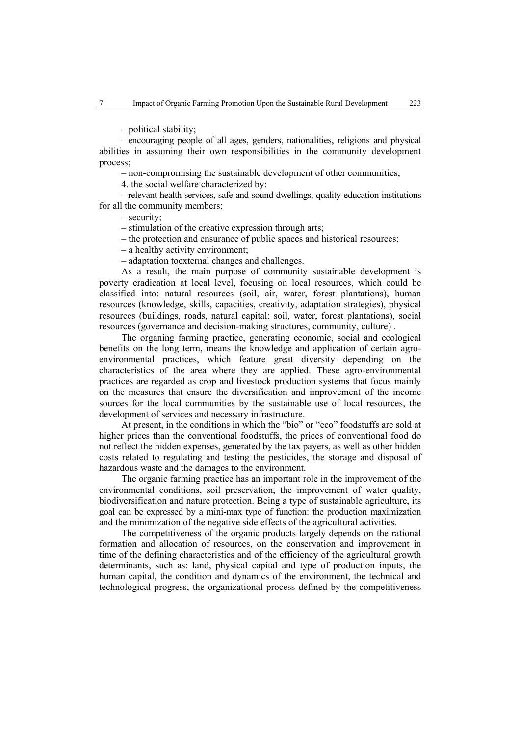– political stability;

– encouraging people of all ages, genders, nationalities, religions and physical abilities in assuming their own responsibilities in the community development process;

– non-compromising the sustainable development of other communities;

4. the social welfare characterized by:

– relevant health services, safe and sound dwellings, quality education institutions for all the community members;

– security;

- stimulation of the creative expression through arts;
- the protection and ensurance of public spaces and historical resources;
- a healthy activity environment;

– adaptation toexternal changes and challenges.

As a result, the main purpose of community sustainable development is poverty eradication at local level, focusing on local resources, which could be classified into: natural resources (soil, air, water, forest plantations), human resources (knowledge, skills, capacities, creativity, adaptation strategies), physical resources (buildings, roads, natural capital: soil, water, forest plantations), social resources (governance and decision-making structures, community, culture) .

The organing farming practice, generating economic, social and ecological benefits on the long term, means the knowledge and application of certain agroenvironmental practices, which feature great diversity depending on the characteristics of the area where they are applied. These agro-environmental practices are regarded as crop and livestock production systems that focus mainly on the measures that ensure the diversification and improvement of the income sources for the local communities by the sustainable use of local resources, the development of services and necessary infrastructure.

At present, in the conditions in which the "bio" or "eco" foodstuffs are sold at higher prices than the conventional foodstuffs, the prices of conventional food do not reflect the hidden expenses, generated by the tax payers, as well as other hidden costs related to regulating and testing the pesticides, the storage and disposal of hazardous waste and the damages to the environment.

The organic farming practice has an important role in the improvement of the environmental conditions, soil preservation, the improvement of water quality, biodiversification and nature protection. Being a type of sustainable agriculture, its goal can be expressed by a mini-max type of function: the production maximization and the minimization of the negative side effects of the agricultural activities.

The competitiveness of the organic products largely depends on the rational formation and allocation of resources, on the conservation and improvement in time of the defining characteristics and of the efficiency of the agricultural growth determinants, such as: land, physical capital and type of production inputs, the human capital, the condition and dynamics of the environment, the technical and technological progress, the organizational process defined by the competitiveness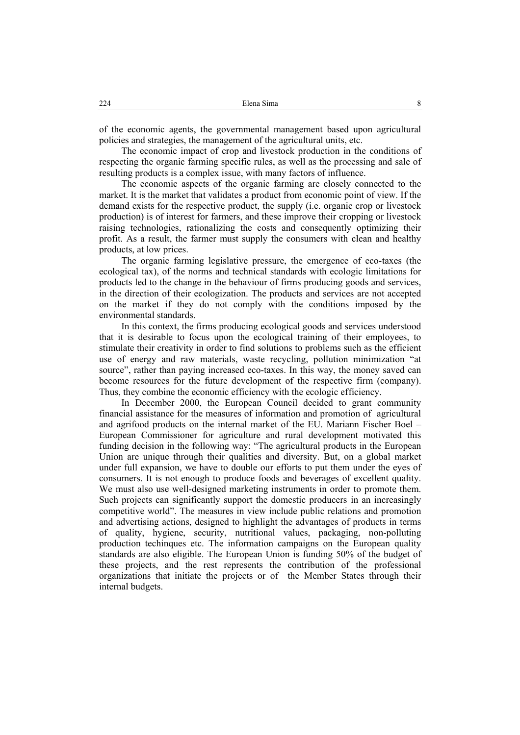of the economic agents, the governmental management based upon agricultural policies and strategies, the management of the agricultural units, etc.

The economic impact of crop and livestock production in the conditions of respecting the organic farming specific rules, as well as the processing and sale of resulting products is a complex issue, with many factors of influence.

The economic aspects of the organic farming are closely connected to the market. It is the market that validates a product from economic point of view. If the demand exists for the respective product, the supply (i.e. organic crop or livestock production) is of interest for farmers, and these improve their cropping or livestock raising technologies, rationalizing the costs and consequently optimizing their profit. As a result, the farmer must supply the consumers with clean and healthy products, at low prices.

The organic farming legislative pressure, the emergence of eco-taxes (the ecological tax), of the norms and technical standards with ecologic limitations for products led to the change in the behaviour of firms producing goods and services, in the direction of their ecologization. The products and services are not accepted on the market if they do not comply with the conditions imposed by the environmental standards.

In this context, the firms producing ecological goods and services understood that it is desirable to focus upon the ecological training of their employees, to stimulate their creativity in order to find solutions to problems such as the efficient use of energy and raw materials, waste recycling, pollution minimization "at source", rather than paying increased eco-taxes. In this way, the money saved can become resources for the future development of the respective firm (company). Thus, they combine the economic efficiency with the ecologic efficiency.

In December 2000, the European Council decided to grant community financial assistance for the measures of information and promotion of agricultural and agrifood products on the internal market of the EU. Mariann Fischer Boel – European Commissioner for agriculture and rural development motivated this funding decision in the following way: "The agricultural products in the European Union are unique through their qualities and diversity. But, on a global market under full expansion, we have to double our efforts to put them under the eyes of consumers. It is not enough to produce foods and beverages of excellent quality. We must also use well-designed marketing instruments in order to promote them. Such projects can significantly support the domestic producers in an increasingly competitive world". The measures in view include public relations and promotion and advertising actions, designed to highlight the advantages of products in terms of quality, hygiene, security, nutritional values, packaging, non-polluting production techinques etc. The information campaigns on the European quality standards are also eligible. The European Union is funding 50% of the budget of these projects, and the rest represents the contribution of the professional organizations that initiate the projects or of the Member States through their internal budgets.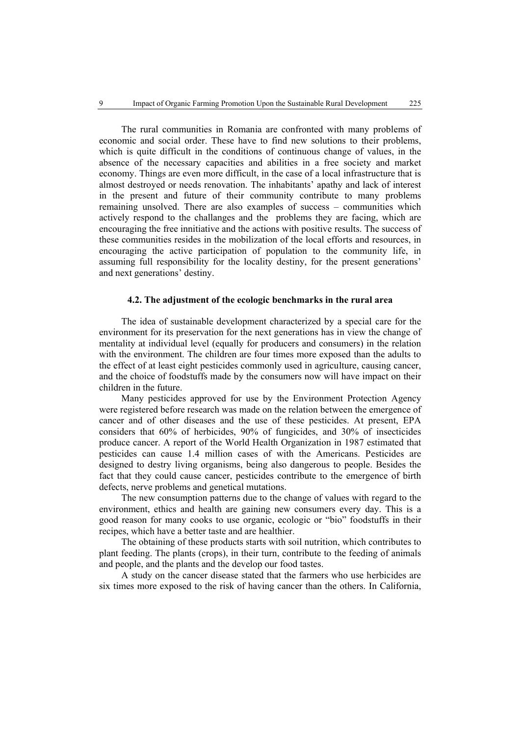The rural communities in Romania are confronted with many problems of economic and social order. These have to find new solutions to their problems, which is quite difficult in the conditions of continuous change of values, in the absence of the necessary capacities and abilities in a free society and market economy. Things are even more difficult, in the case of a local infrastructure that is almost destroyed or needs renovation. The inhabitants' apathy and lack of interest in the present and future of their community contribute to many problems remaining unsolved. There are also examples of success – communities which actively respond to the challanges and the problems they are facing, which are encouraging the free innitiative and the actions with positive results. The success of these communities resides in the mobilization of the local efforts and resources, in encouraging the active participation of population to the community life, in assuming full responsibility for the locality destiny, for the present generations' and next generations' destiny.

### **4.2. The adjustment of the ecologic benchmarks in the rural area**

The idea of sustainable development characterized by a special care for the environment for its preservation for the next generations has in view the change of mentality at individual level (equally for producers and consumers) in the relation with the environment. The children are four times more exposed than the adults to the effect of at least eight pesticides commonly used in agriculture, causing cancer, and the choice of foodstuffs made by the consumers now will have impact on their children in the future.

Many pesticides approved for use by the Environment Protection Agency were registered before research was made on the relation between the emergence of cancer and of other diseases and the use of these pesticides. At present, EPA considers that 60% of herbicides, 90% of fungicides, and 30% of insecticides produce cancer. A report of the World Health Organization in 1987 estimated that pesticides can cause 1.4 million cases of with the Americans. Pesticides are designed to destry living organisms, being also dangerous to people. Besides the fact that they could cause cancer, pesticides contribute to the emergence of birth defects, nerve problems and genetical mutations.

The new consumption patterns due to the change of values with regard to the environment, ethics and health are gaining new consumers every day. This is a good reason for many cooks to use organic, ecologic or "bio" foodstuffs in their recipes, which have a better taste and are healthier.

The obtaining of these products starts with soil nutrition, which contributes to plant feeding. The plants (crops), in their turn, contribute to the feeding of animals and people, and the plants and the develop our food tastes.

A study on the cancer disease stated that the farmers who use herbicides are six times more exposed to the risk of having cancer than the others. In California,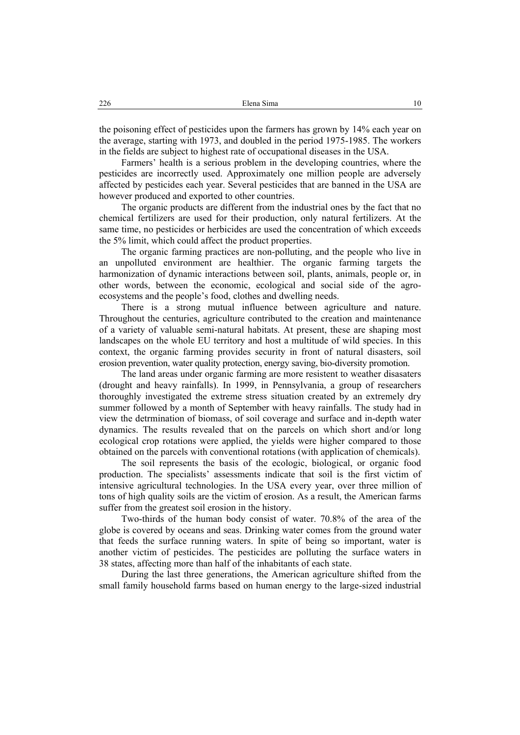the poisoning effect of pesticides upon the farmers has grown by 14% each year on the average, starting with 1973, and doubled in the period 1975-1985. The workers in the fields are subject to highest rate of occupational diseases in the USA.

Farmers' health is a serious problem in the developing countries, where the pesticides are incorrectly used. Approximately one million people are adversely affected by pesticides each year. Several pesticides that are banned in the USA are however produced and exported to other countries.

The organic products are different from the industrial ones by the fact that no chemical fertilizers are used for their production, only natural fertilizers. At the same time, no pesticides or herbicides are used the concentration of which exceeds the 5% limit, which could affect the product properties.

The organic farming practices are non-polluting, and the people who live in an unpolluted environment are healthier. The organic farming targets the harmonization of dynamic interactions between soil, plants, animals, people or, in other words, between the economic, ecological and social side of the agroecosystems and the people's food, clothes and dwelling needs.

There is a strong mutual influence between agriculture and nature. Throughout the centuries, agriculture contributed to the creation and maintenance of a variety of valuable semi-natural habitats. At present, these are shaping most landscapes on the whole EU territory and host a multitude of wild species. In this context, the organic farming provides security in front of natural disasters, soil erosion prevention, water quality protection, energy saving, bio-diversity promotion.

The land areas under organic farming are more resistent to weather disasaters (drought and heavy rainfalls). In 1999, in Pennsylvania, a group of researchers thoroughly investigated the extreme stress situation created by an extremely dry summer followed by a month of September with heavy rainfalls. The study had in view the detrmination of biomass, of soil coverage and surface and in-depth water dynamics. The results revealed that on the parcels on which short and/or long ecological crop rotations were applied, the yields were higher compared to those obtained on the parcels with conventional rotations (with application of chemicals).

The soil represents the basis of the ecologic, biological, or organic food production. The specialists' assessments indicate that soil is the first victim of intensive agricultural technologies. In the USA every year, over three million of tons of high quality soils are the victim of erosion. As a result, the American farms suffer from the greatest soil erosion in the history.

Two-thirds of the human body consist of water. 70.8% of the area of the globe is covered by oceans and seas. Drinking water comes from the ground water that feeds the surface running waters. In spite of being so important, water is another victim of pesticides. The pesticides are polluting the surface waters in 38 states, affecting more than half of the inhabitants of each state.

During the last three generations, the American agriculture shifted from the small family household farms based on human energy to the large-sized industrial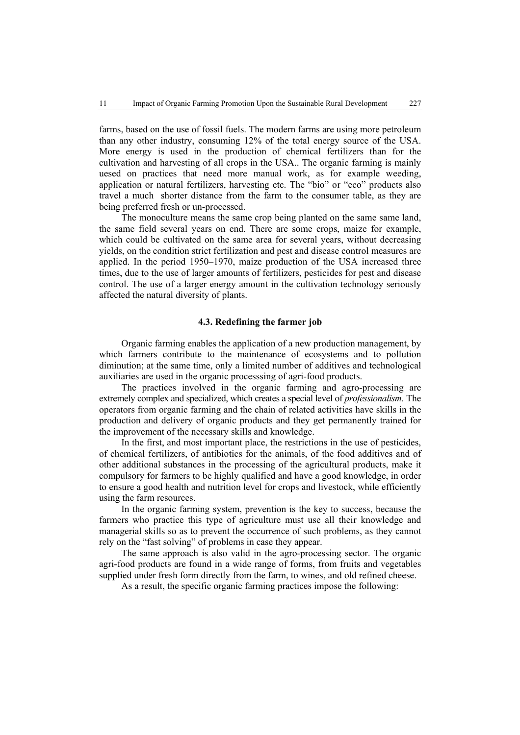farms, based on the use of fossil fuels. The modern farms are using more petroleum than any other industry, consuming 12% of the total energy source of the USA. More energy is used in the production of chemical fertilizers than for the cultivation and harvesting of all crops in the USA.. The organic farming is mainly uesed on practices that need more manual work, as for example weeding, application or natural fertilizers, harvesting etc. The "bio" or "eco" products also travel a much shorter distance from the farm to the consumer table, as they are being preferred fresh or un-processed.

The monoculture means the same crop being planted on the same same land, the same field several years on end. There are some crops, maize for example, which could be cultivated on the same area for several years, without decreasing yields, on the condition strict fertilization and pest and disease control measures are applied. In the period 1950–1970, maize production of the USA increased three times, due to the use of larger amounts of fertilizers, pesticides for pest and disease control. The use of a larger energy amount in the cultivation technology seriously affected the natural diversity of plants.

### **4.3. Redefining the farmer job**

Organic farming enables the application of a new production management, by which farmers contribute to the maintenance of ecosystems and to pollution diminution; at the same time, only a limited number of additives and technological auxiliaries are used in the organic processsing of agri-food products.

The practices involved in the organic farming and agro-processing are extremely complex and specialized, which creates a special level of *professionalism*. The operators from organic farming and the chain of related activities have skills in the production and delivery of organic products and they get permanently trained for the improvement of the necessary skills and knowledge.

In the first, and most important place, the restrictions in the use of pesticides, of chemical fertilizers, of antibiotics for the animals, of the food additives and of other additional substances in the processing of the agricultural products, make it compulsory for farmers to be highly qualified and have a good knowledge, in order to ensure a good health and nutrition level for crops and livestock, while efficiently using the farm resources.

In the organic farming system, prevention is the key to success, because the farmers who practice this type of agriculture must use all their knowledge and managerial skills so as to prevent the occurrence of such problems, as they cannot rely on the "fast solving" of problems in case they appear.

The same approach is also valid in the agro-processing sector. The organic agri-food products are found in a wide range of forms, from fruits and vegetables supplied under fresh form directly from the farm, to wines, and old refined cheese.

As a result, the specific organic farming practices impose the following: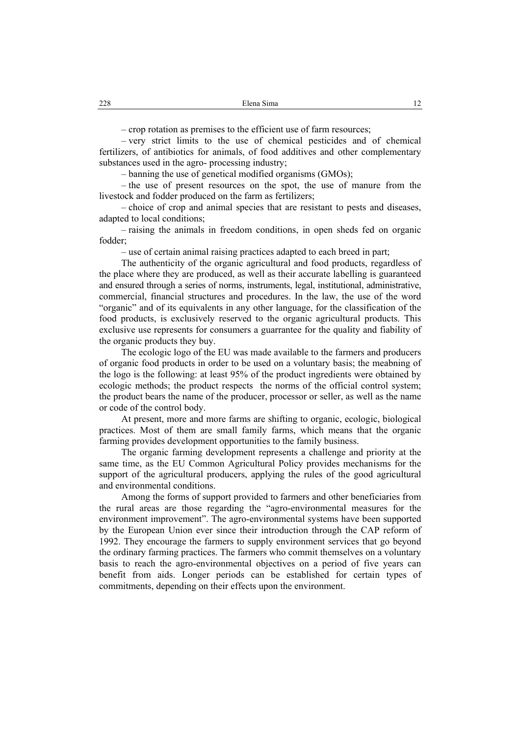– crop rotation as premises to the efficient use of farm resources;

– very strict limits to the use of chemical pesticides and of chemical fertilizers, of antibiotics for animals, of food additives and other complementary substances used in the agro- processing industry;

– banning the use of genetical modified organisms (GMOs);

– the use of present resources on the spot, the use of manure from the livestock and fodder produced on the farm as fertilizers;

– choice of crop and animal species that are resistant to pests and diseases, adapted to local conditions;

– raising the animals in freedom conditions, in open sheds fed on organic fodder;

– use of certain animal raising practices adapted to each breed in part;

The authenticity of the organic agricultural and food products, regardless of the place where they are produced, as well as their accurate labelling is guaranteed and ensured through a series of norms, instruments, legal, institutional, administrative, commercial, financial structures and procedures. In the law, the use of the word "organic" and of its equivalents in any other language, for the classification of the food products, is exclusively reserved to the organic agricultural products. This exclusive use represents for consumers a guarrantee for the quality and fiability of the organic products they buy.

The ecologic logo of the EU was made available to the farmers and producers of organic food products in order to be used on a voluntary basis; the meabning of the logo is the following: at least 95% of the product ingredients were obtained by ecologic methods; the product respects the norms of the official control system; the product bears the name of the producer, processor or seller, as well as the name or code of the control body.

At present, more and more farms are shifting to organic, ecologic, biological practices. Most of them are small family farms, which means that the organic farming provides development opportunities to the family business.

The organic farming development represents a challenge and priority at the same time, as the EU Common Agricultural Policy provides mechanisms for the support of the agricultural producers, applying the rules of the good agricultural and environmental conditions.

Among the forms of support provided to farmers and other beneficiaries from the rural areas are those regarding the "agro-environmental measures for the environment improvement". The agro-environmental systems have been supported by the European Union ever since their introduction through the CAP reform of 1992. They encourage the farmers to supply environment services that go beyond the ordinary farming practices. The farmers who commit themselves on a voluntary basis to reach the agro-environmental objectives on a period of five years can benefit from aids. Longer periods can be established for certain types of commitments, depending on their effects upon the environment.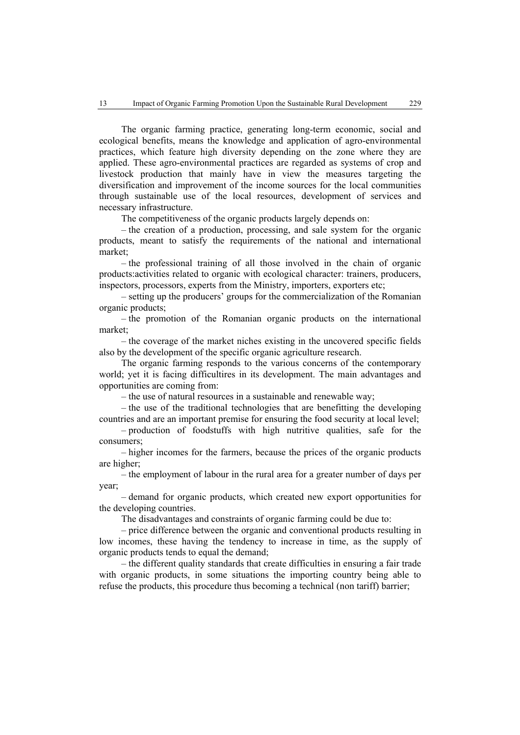The organic farming practice, generating long-term economic, social and ecological benefits, means the knowledge and application of agro-environmental practices, which feature high diversity depending on the zone where they are applied. These agro-environmental practices are regarded as systems of crop and livestock production that mainly have in view the measures targeting the diversification and improvement of the income sources for the local communities through sustainable use of the local resources, development of services and necessary infrastructure.

The competitiveness of the organic products largely depends on:

– the creation of a production, processing, and sale system for the organic products, meant to satisfy the requirements of the national and international market;

– the professional training of all those involved in the chain of organic products:activities related to organic with ecological character: trainers, producers, inspectors, processors, experts from the Ministry, importers, exporters etc;

– setting up the producers' groups for the commercialization of the Romanian organic products;

– the promotion of the Romanian organic products on the international market;

– the coverage of the market niches existing in the uncovered specific fields also by the development of the specific organic agriculture research.

The organic farming responds to the various concerns of the contemporary world; yet it is facing difficultires in its development. The main advantages and opportunities are coming from:

– the use of natural resources in a sustainable and renewable way;

– the use of the traditional technologies that are benefitting the developing countries and are an important premise for ensuring the food security at local level;

– production of foodstuffs with high nutritive qualities, safe for the consumers;

– higher incomes for the farmers, because the prices of the organic products are higher;

– the employment of labour in the rural area for a greater number of days per year;

– demand for organic products, which created new export opportunities for the developing countries.

The disadvantages and constraints of organic farming could be due to:

– price difference between the organic and conventional products resulting in low incomes, these having the tendency to increase in time, as the supply of organic products tends to equal the demand;

– the different quality standards that create difficulties in ensuring a fair trade with organic products, in some situations the importing country being able to refuse the products, this procedure thus becoming a technical (non tariff) barrier;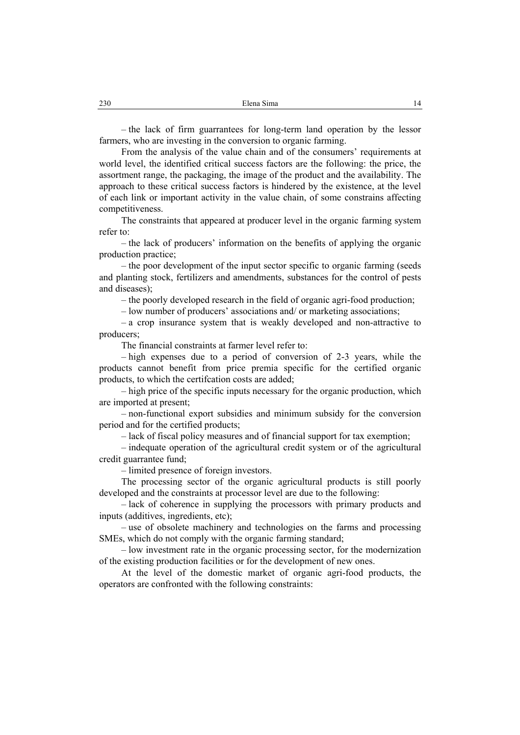– the lack of firm guarrantees for long-term land operation by the lessor farmers, who are investing in the conversion to organic farming.

From the analysis of the value chain and of the consumers' requirements at world level, the identified critical success factors are the following: the price, the assortment range, the packaging, the image of the product and the availability. The approach to these critical success factors is hindered by the existence, at the level of each link or important activity in the value chain, of some constrains affecting competitiveness.

The constraints that appeared at producer level in the organic farming system refer to:

– the lack of producers' information on the benefits of applying the organic production practice;

– the poor development of the input sector specific to organic farming (seeds and planting stock, fertilizers and amendments, substances for the control of pests and diseases);

– the poorly developed research in the field of organic agri-food production;

– low number of producers' associations and/ or marketing associations;

– a crop insurance system that is weakly developed and non-attractive to producers;

The financial constraints at farmer level refer to:

– high expenses due to a period of conversion of 2-3 years, while the products cannot benefit from price premia specific for the certified organic products, to which the certifcation costs are added;

– high price of the specific inputs necessary for the organic production, which are imported at present;

– non-functional export subsidies and minimum subsidy for the conversion period and for the certified products;

– lack of fiscal policy measures and of financial support for tax exemption;

– indequate operation of the agricultural credit system or of the agricultural credit guarrantee fund;

– limited presence of foreign investors.

The processing sector of the organic agricultural products is still poorly developed and the constraints at processor level are due to the following:

– lack of coherence in supplying the processors with primary products and inputs (additives, ingredients, etc);

– use of obsolete machinery and technologies on the farms and processing SMEs, which do not comply with the organic farming standard;

– low investment rate in the organic processing sector, for the modernization of the existing production facilities or for the development of new ones.

At the level of the domestic market of organic agri-food products, the operators are confronted with the following constraints: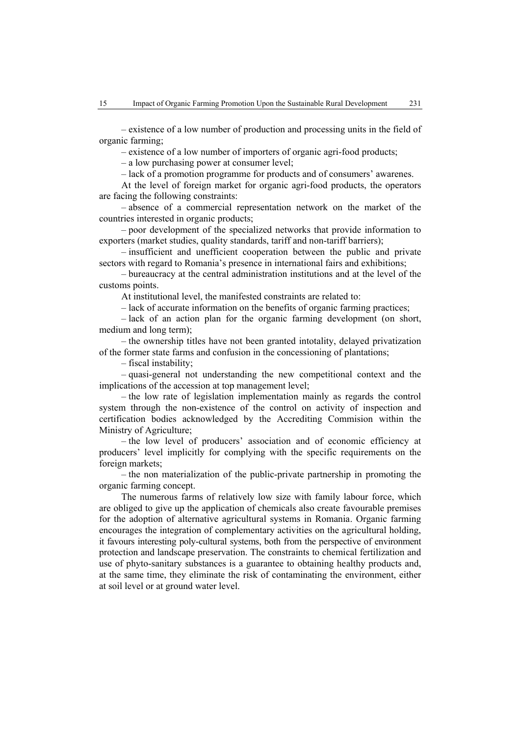– existence of a low number of production and processing units in the field of organic farming;

– existence of a low number of importers of organic agri-food products;

– a low purchasing power at consumer level;

– lack of a promotion programme for products and of consumers' awarenes.

At the level of foreign market for organic agri-food products, the operators are facing the following constraints:

– absence of a commercial representation network on the market of the countries interested in organic products;

– poor development of the specialized networks that provide information to exporters (market studies, quality standards, tariff and non-tariff barriers);

– insufficient and unefficient cooperation between the public and private sectors with regard to Romania's presence in international fairs and exhibitions;

– bureaucracy at the central administration institutions and at the level of the customs points.

At institutional level, the manifested constraints are related to:

– lack of accurate information on the benefits of organic farming practices;

– lack of an action plan for the organic farming development (on short, medium and long term);

– the ownership titles have not been granted intotality, delayed privatization of the former state farms and confusion in the concessioning of plantations;

– fiscal instability;

– quasi-general not understanding the new competitional context and the implications of the accession at top management level;

– the low rate of legislation implementation mainly as regards the control system through the non-existence of the control on activity of inspection and certification bodies acknowledged by the Accrediting Commision within the Ministry of Agriculture;

– the low level of producers' association and of economic efficiency at producers' level implicitly for complying with the specific requirements on the foreign markets;

– the non materialization of the public-private partnership in promoting the organic farming concept.

The numerous farms of relatively low size with family labour force, which are obliged to give up the application of chemicals also create favourable premises for the adoption of alternative agricultural systems in Romania. Organic farming encourages the integration of complementary activities on the agricultural holding, it favours interesting poly-cultural systems, both from the perspective of environment protection and landscape preservation. The constraints to chemical fertilization and use of phyto-sanitary substances is a guarantee to obtaining healthy products and, at the same time, they eliminate the risk of contaminating the environment, either at soil level or at ground water level.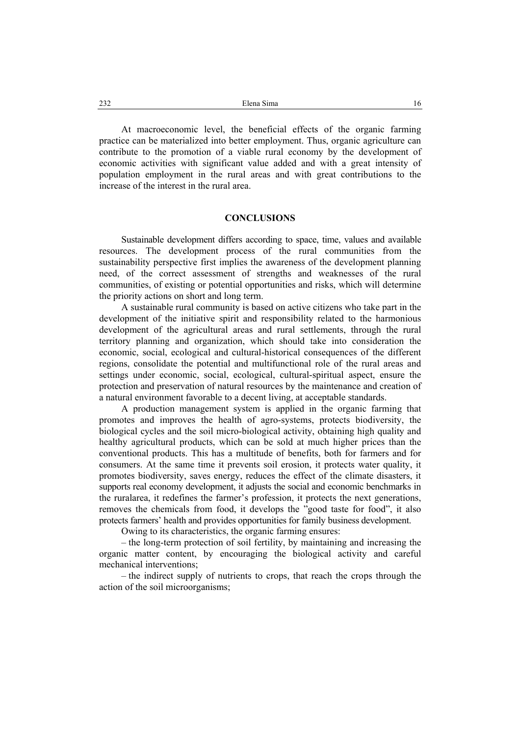At macroeconomic level, the beneficial effects of the organic farming practice can be materialized into better employment. Thus, organic agriculture can contribute to the promotion of a viable rural economy by the development of economic activities with significant value added and with a great intensity of population employment in the rural areas and with great contributions to the increase of the interest in the rural area.

#### **CONCLUSIONS**

Sustainable development differs according to space, time, values and available resources. The development process of the rural communities from the sustainability perspective first implies the awareness of the development planning need, of the correct assessment of strengths and weaknesses of the rural communities, of existing or potential opportunities and risks, which will determine the priority actions on short and long term.

A sustainable rural community is based on active citizens who take part in the development of the initiative spirit and responsibility related to the harmonious development of the agricultural areas and rural settlements, through the rural territory planning and organization, which should take into consideration the economic, social, ecological and cultural-historical consequences of the different regions, consolidate the potential and multifunctional role of the rural areas and settings under economic, social, ecological, cultural-spiritual aspect, ensure the protection and preservation of natural resources by the maintenance and creation of a natural environment favorable to a decent living, at acceptable standards.

A production management system is applied in the organic farming that promotes and improves the health of agro-systems, protects biodiversity, the biological cycles and the soil micro-biological activity, obtaining high quality and healthy agricultural products, which can be sold at much higher prices than the conventional products. This has a multitude of benefits, both for farmers and for consumers. At the same time it prevents soil erosion, it protects water quality, it promotes biodiversity, saves energy, reduces the effect of the climate disasters, it supports real economy development, it adjusts the social and economic benchmarks in the ruralarea, it redefines the farmer's profession, it protects the next generations, removes the chemicals from food, it develops the "good taste for food", it also protects farmers' health and provides opportunities for family business development.

Owing to its characteristics, the organic farming ensures:

– the long-term protection of soil fertility, by maintaining and increasing the organic matter content, by encouraging the biological activity and careful mechanical interventions;

– the indirect supply of nutrients to crops, that reach the crops through the action of the soil microorganisms;